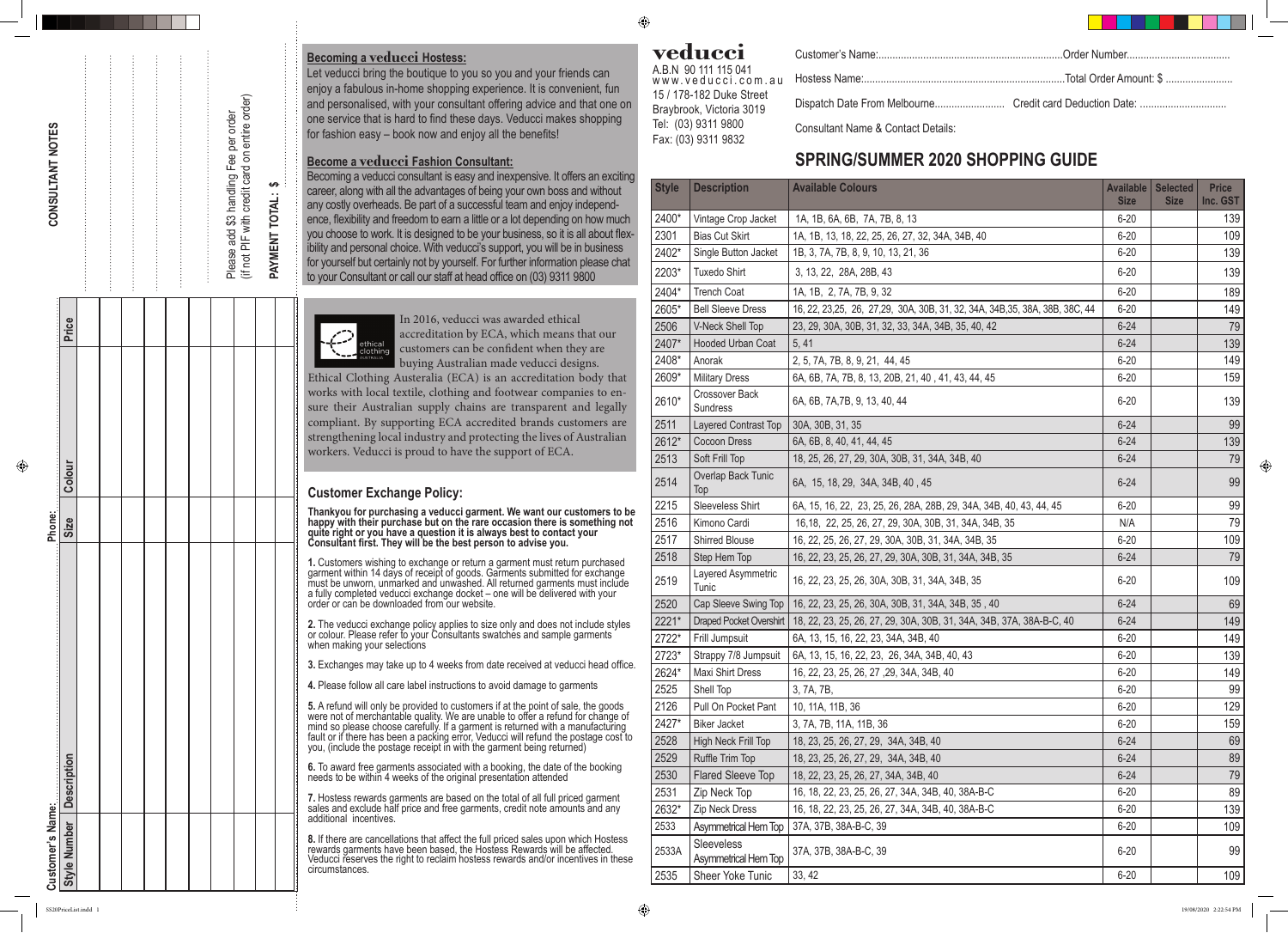## **Becoming a veducci Hostess:**

Let veducci bring the boutique to you so you and your friends can enjoy a fabulous in-home shopping experience. It is convenient, fun and personalised, with your consultant offering advice and that one on one service that is hard to find these days. Veducci makes shopping for fashion easy – book now and enjoy all the benefits!

### **Become a veducci Fashion Consultant:**

Becoming a veducci consultant is easy and inexpensive. It offers an exciting career, along with all the advantages of being your own boss and without any costly overheads. Be part of a successful team and enjoy independence, flexibility and freedom to earn a little or a lot depending on how much you choose to work. It is designed to be your business, so it is all about flexibility and personal choice. With veducci's support, you will be in business for yourself but certainly not by yourself. For further information please chat to your Consultant or call our staff at head office on (03) 9311 9800



## **Customer Exchange Policy:**

**Thankyou for purchasing a veducci garment. We want our customers to be happy with their purchase but on the rare occasion there is something not quite right or you have a question it is always best to contact your Consultant first. They will be the best person to advise you.**

ustomers wishing to exchange or return a garment must return purchased<br>nent within 14 days of receipt of goods. Garments submitted for exchange be unworn, unmarked and unwashed. All returned garments must include ly completed veducci exchange docket – one will be delivered with your order or can be downloaded from our website.

he veducci exchange policy applies to size only and does not include styles<br>plour. Please refer to your Consultants swatches and sample garments n making your selections

# CONSULTANT NOTES **CONSULTANT NOTES**

Price

ease add \$3 handling Fee per order<br>not PIF with credit card on entire order) Please add \$3 handling Fee per order

(if not PIF with credit card on entire order) Please 這

**3.** Exchanges may take up to 4 weeks from date received at veducci head office.

ease follow all care label instructions to avoid damage to garments

**5.** A refund will only be provided to customers if at the point of sale, the goods were not of merchantable quality. We are unable to offer a refund for change of mind so please choose carefully. If a garment is returned with a manufacturing fault or if there has been a packing error, Veducci will refund the postage cost to you, (include the postage receipt in with the garment being returned)

**6.** To award free garments associated with a booking, the date of the booking needs to be within 4 weeks of the original presentation attended

**7.** Hostess rewards garments are based on the total of all full priced garment sales and exclude half price and free garments, credit note amounts and any additional incentives.

**8.** If there are cancellations that affect the full priced sales upon which Hostess rewards garments have been based, the Hostess Rewards will be affected. Veducci reserves the right to reclaim hostess rewards and/or incentives in these circumstances.

# **veducci**

◈

A.B.N 90 111 115 041 www.veducci.com.au 15 / 178-182 Duke Street Braybrook, Victoria 3019 Tel: (03) 9311 9800 Fax: (03) 9311 9832

Customer's Name:....

Hostess Name:..... Dispatch Date From Melbou

Consultant Name & Contact Details:

# **SPRING/SUMMER 2020 SHOPPING GUIDE**

**Style Number Description Size Colour Price**

Colour

Size

**PAYMENT TOTAL: \$**

PAYMENT TOTAL:

 $\leftrightarrow$ 

|  |  |  |  |                                                                               | Ethi<br>worl<br>sure<br>com<br>strei<br>worl         |
|--|--|--|--|-------------------------------------------------------------------------------|------------------------------------------------------|
|  |  |  |  |                                                                               | Cus                                                  |
|  |  |  |  |                                                                               | Than<br>happ<br>quite<br>Cons                        |
|  |  |  |  |                                                                               | $1.$ Cu<br>n sea<br>garm<br>must<br>a fully<br>order |
|  |  |  |  |                                                                               | 2. Th<br>or co<br>wher                               |
|  |  |  |  |                                                                               | 3. Ex                                                |
|  |  |  |  |                                                                               | 4. Ple                                               |
|  |  |  |  | and the company's company's company's company's company's company's company's | 5. A <sub>I</sub><br>were<br>mind<br>fault           |

 In 2016, veducci was awarded ethical accreditation by ECA, which means that our customers can be confident when they are buying Australian made veducci designs.

cal Clothing Austeralia (ECA) is an accreditation body that ks with local textile, clothing and footwear companies to entheir Australian supply chains are transparent and legally pliant. By supporting ECA accredited brands customers are igthening local industry and protecting the lives of Australian kers. Veducci is proud to have the support of ECA.

**Customer's Name: Phone:** 

s Name:<br>nber Description

**Style Number** Customer's

| <b>Style</b> | <b>Description</b>                               | <b>Available Colours</b>                                                                       | <b>Available</b><br><b>Size</b> | <b>Selected</b><br><b>Size</b> | <b>Price</b><br>Inc. GST |
|--------------|--------------------------------------------------|------------------------------------------------------------------------------------------------|---------------------------------|--------------------------------|--------------------------|
| 2400*        | Vintage Crop Jacket                              | 1A, 1B, 6A, 6B, 7A, 7B, 8, 13                                                                  | $6 - 20$                        |                                | 139                      |
| 2301         | <b>Bias Cut Skirt</b>                            | 1A, 1B, 13, 18, 22, 25, 26, 27, 32, 34A, 34B, 40                                               | $6 - 20$                        |                                | 109                      |
| 2402*        | Single Button Jacket                             | 1B, 3, 7A, 7B, 8, 9, 10, 13, 21, 36                                                            | $6 - 20$                        |                                | 139                      |
| 2203*        | <b>Tuxedo Shirt</b>                              | 3, 13, 22, 28A, 28B, 43                                                                        | $6 - 20$                        |                                | 139                      |
| 2404*        | <b>Trench Coat</b>                               | 1A, 1B, 2, 7A, 7B, 9, 32                                                                       | $6 - 20$                        |                                | 189                      |
| 2605*        | <b>Bell Sleeve Dress</b>                         | 16, 22, 23, 25, 26, 27, 29, 30A, 30B, 31, 32, 34A, 34B, 35, 38A, 38B, 38C, 44                  | $6 - 20$                        |                                | 149                      |
| 2506         | <b>V-Neck Shell Top</b>                          | 23, 29, 30A, 30B, 31, 32, 33, 34A, 34B, 35, 40, 42                                             | $6 - 24$                        |                                | 79                       |
| 2407*        | <b>Hooded Urban Coat</b>                         | 5, 41                                                                                          | $6 - 24$                        |                                | 139                      |
| 2408*        | Anorak                                           | 2, 5, 7A, 7B, 8, 9, 21, 44, 45                                                                 | $6 - 20$                        |                                | 149                      |
| 2609*        | <b>Military Dress</b>                            | 6A, 6B, 7A, 7B, 8, 13, 20B, 21, 40, 41, 43, 44, 45                                             | $6 - 20$                        |                                | 159                      |
| 2610*        | <b>Crossover Back</b><br>Sundress                | 6A, 6B, 7A, 7B, 9, 13, 40, 44                                                                  | $6 - 20$                        |                                | 139                      |
| 2511         | Layered Contrast Top                             | 30A, 30B, 31, 35                                                                               | $6 - 24$                        |                                | 99                       |
| 2612*        | <b>Cocoon Dress</b>                              | 6A, 6B, 8, 40, 41, 44, 45                                                                      | $6 - 24$                        |                                | 139                      |
| 2513         | Soft Frill Top                                   | 18, 25, 26, 27, 29, 30A, 30B, 31, 34A, 34B, 40                                                 | $6 - 24$                        |                                | 79                       |
| 2514         | Overlap Back Tunic<br>Top                        | 6A, 15, 18, 29, 34A, 34B, 40, 45                                                               | $6 - 24$                        |                                | 99                       |
| 2215         | Sleeveless Shirt                                 | 6A, 15, 16, 22, 23, 25, 26, 28A, 28B, 29, 34A, 34B, 40, 43, 44, 45                             | $6 - 20$                        |                                | 99                       |
| 2516         | Kimono Cardi                                     | 16,18, 22, 25, 26, 27, 29, 30A, 30B, 31, 34A, 34B, 35                                          | N/A                             |                                | 79                       |
| 2517         | Shirred Blouse                                   | 16, 22, 25, 26, 27, 29, 30A, 30B, 31, 34A, 34B, 35                                             | $6 - 20$                        |                                | 109                      |
| 2518         | Step Hem Top                                     | 16, 22, 23, 25, 26, 27, 29, 30A, 30B, 31, 34A, 34B, 35                                         | $6 - 24$                        |                                | 79                       |
| 2519         | Layered Asymmetric<br>Tunic                      | 16, 22, 23, 25, 26, 30A, 30B, 31, 34A, 34B, 35                                                 | $6 - 20$                        |                                | 109                      |
| 2520         |                                                  | Cap Sleeve Swing Top   16, 22, 23, 25, 26, 30A, 30B, 31, 34A, 34B, 35, 40                      | $6 - 24$                        |                                | 69                       |
| 2221*        |                                                  | Draped Pocket Overshirt   18, 22, 23, 25, 26, 27, 29, 30A, 30B, 31, 34A, 34B, 37A, 38A-B-C, 40 | $6 - 24$                        |                                | 149                      |
| 2722*        | Frill Jumpsuit                                   | 6A, 13, 15, 16, 22, 23, 34A, 34B, 40                                                           | $6 - 20$                        |                                | 149                      |
| 2723*        | Strappy 7/8 Jumpsuit                             | 6A, 13, 15, 16, 22, 23, 26, 34A, 34B, 40, 43                                                   | $6 - 20$                        |                                | 139                      |
| 2624*        | <b>Maxi Shirt Dress</b>                          | 16, 22, 23, 25, 26, 27, 29, 34A, 34B, 40                                                       | $6 - 20$                        |                                | 149                      |
| 2525         | Shell Top                                        | 3, 7A, 7B,                                                                                     | $6 - 20$                        |                                | 99                       |
| 2126         | Pull On Pocket Pant                              | 10, 11A, 11B, 36                                                                               | $6 - 20$                        |                                | 129                      |
| 2427*        | <b>Biker Jacket</b>                              | 3, 7A, 7B, 11A, 11B, 36                                                                        | $6 - 20$                        |                                | 159                      |
| 2528         | High Neck Frill Top                              | 18, 23, 25, 26, 27, 29, 34A, 34B, 40                                                           | $6 - 24$                        |                                | 69                       |
| 2529         | Ruffle Trim Top                                  | 18, 23, 25, 26, 27, 29, 34A, 34B, 40                                                           | $6 - 24$                        |                                | 89                       |
| 2530         | <b>Flared Sleeve Top</b>                         | 18, 22, 23, 25, 26, 27, 34A, 34B, 40                                                           | $6 - 24$                        |                                | 79                       |
| 2531         | Zip Neck Top                                     | 16, 18, 22, 23, 25, 26, 27, 34A, 34B, 40, 38A-B-C                                              | $6 - 20$                        |                                | 89                       |
| 2632*        | <b>Zip Neck Dress</b>                            | 16, 18, 22, 23, 25, 26, 27, 34A, 34B, 40, 38A-B-C                                              | $6 - 20$                        |                                | 139                      |
| 2533         | <b>Asymmetrical Hem Top</b>                      | 37A, 37B, 38A-B-C, 39                                                                          | $6 - 20$                        |                                | 109                      |
| 2533A        | <b>Sleeveless</b><br><b>Asymmetrical Hem Top</b> | 37A, 37B, 38A-B-C, 39                                                                          | $6 - 20$                        |                                | 99                       |
| 2535         | Sheer Yoke Tunic                                 | 33, 42                                                                                         | $6 - 20$                        |                                | 109                      |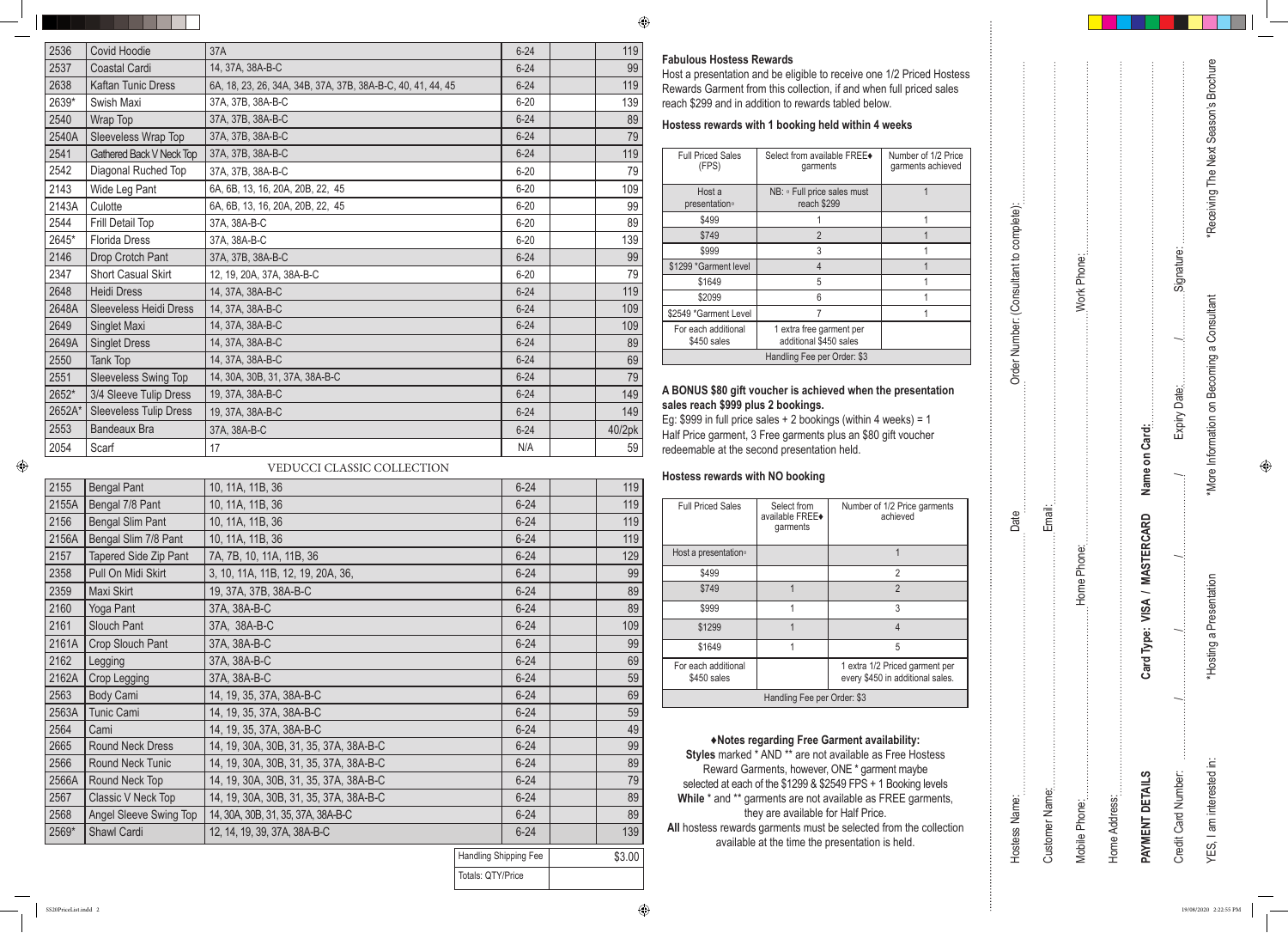#### **Fabulous Hostess Rewards**

Host a presentation and be eligible to receive one 1/2 Pric Rewards Garment from this collection, if and when full pric reach \$299 and in addition to rewards tabled below.

| /2 Priced Hostess<br>full priced sales   |                                         |                |               |               |                              |                     | *Receiving The Next Season's Brochure      |  |
|------------------------------------------|-----------------------------------------|----------------|---------------|---------------|------------------------------|---------------------|--------------------------------------------|--|
|                                          |                                         |                |               |               |                              |                     |                                            |  |
| eeks                                     |                                         |                |               |               |                              |                     |                                            |  |
| Number of 1/2 Price<br>garments achieved |                                         |                |               |               |                              |                     |                                            |  |
| 1                                        |                                         |                |               |               |                              |                     |                                            |  |
| $\mathbf 1$<br>$\overline{1}$            | Order Number: (Consultant to complete): |                |               |               |                              |                     |                                            |  |
| $\mathbf 1$                              |                                         |                |               |               |                              |                     |                                            |  |
| 1<br>$\mathbf 1$                         |                                         |                | Work Phone:   |               |                              | Signature:          |                                            |  |
| 1                                        |                                         |                |               |               |                              |                     |                                            |  |
| $\mathbf 1$                              |                                         |                |               |               |                              |                     |                                            |  |
|                                          |                                         |                |               |               |                              |                     |                                            |  |
|                                          |                                         |                |               |               |                              |                     |                                            |  |
| presentation                             |                                         |                |               |               |                              |                     | *More Information on Becoming a Consultant |  |
| $eeks$ ) = 1                             |                                         |                |               |               |                              | Expiry Date:        |                                            |  |
| ift voucher                              |                                         |                |               |               |                              |                     |                                            |  |
|                                          |                                         |                |               |               |                              |                     |                                            |  |
|                                          |                                         |                |               |               | Name on Card:                |                     |                                            |  |
| 2 Price garments<br>hieved               |                                         | Email:         |               |               |                              |                     |                                            |  |
|                                          | Date                                    |                |               |               | Card Type: VISA / MASTERCARD |                     |                                            |  |
| $\mathbf{1}$                             |                                         |                |               |               |                              |                     |                                            |  |
| $\sqrt{2}$                               |                                         |                | Home Phone:   |               |                              |                     |                                            |  |
| $\overline{2}$<br>$\mathfrak{Z}$         |                                         |                |               |               |                              |                     |                                            |  |
| $\overline{4}$                           |                                         |                |               |               |                              |                     |                                            |  |
| 5                                        |                                         |                |               |               |                              |                     |                                            |  |
| riced garment per                        |                                         |                |               |               |                              |                     | *Hosting a Presentation                    |  |
| additional sales.                        |                                         |                |               |               |                              |                     |                                            |  |
|                                          |                                         |                |               |               |                              |                     |                                            |  |
| ability:                                 |                                         |                |               |               |                              |                     |                                            |  |
| Free Hostess                             |                                         |                |               |               |                              |                     |                                            |  |
| nt maybe<br>Booking levels               |                                         |                |               |               |                              |                     |                                            |  |
| REE garments,                            |                                         |                |               |               |                              |                     |                                            |  |
| om the collection                        |                                         |                |               |               |                              |                     |                                            |  |
| held.                                    | Hostess Name:                           | Customer Name: | Mobile Phone: | Home Address: | PAYMENT DETAILS              | Credit Card Number: | YES, I am interested in:                   |  |
|                                          |                                         |                |               |               |                              |                     |                                            |  |

ă

 $\bigoplus$ 

#### **Hostess rewards with 1 booking held within 4 weeks**

| <b>Full Priced Sales</b><br>(FPS)  | Select from available FREE◆<br>garments            | <b>Number</b><br>garmen |
|------------------------------------|----------------------------------------------------|-------------------------|
| Host a<br>presentation。            | NB: $\circ$ Full price sales must<br>reach \$299   |                         |
| \$499                              |                                                    |                         |
| \$749                              | $\overline{2}$                                     |                         |
| \$999                              | 3                                                  |                         |
| \$1299 *Garment level              | 4                                                  |                         |
| \$1649                             | 5                                                  |                         |
| \$2099                             | 6                                                  |                         |
| \$2549 *Garment Level              |                                                    |                         |
| For each additional<br>\$450 sales | 1 extra free garment per<br>additional \$450 sales |                         |
|                                    | Handling Fee per Order: \$3                        |                         |

#### A BONUS \$80 gift voucher is achieved when the prese **sales reach \$999 plus 2 bookings.**

| <b>Full Priced Sales</b>           | Select from<br>available FREE◆<br>garments | Number of 1/2 Price garments<br>achieved                           |  |
|------------------------------------|--------------------------------------------|--------------------------------------------------------------------|--|
| Host a presentation <sup>®</sup>   |                                            | 1                                                                  |  |
| \$499                              |                                            | 2                                                                  |  |
| \$749                              |                                            | $\mathfrak{p}$                                                     |  |
| \$999                              |                                            | 3                                                                  |  |
| \$1299                             |                                            | 4                                                                  |  |
| \$1649                             |                                            | 5                                                                  |  |
| For each additional<br>\$450 sales |                                            | 1 extra 1/2 Priced garment per<br>every \$450 in additional sales. |  |
| Handling Fee per Order: \$3        |                                            |                                                                    |  |

Eg: \$999 in full price sales + 2 bookings (within 4 weeks) = 1 Half Price garment, 3 Free garments plus an \$80 gift vouch redeemable at the second presentation held.

#### **Hostess rewards with NO booking**

**♦Notes regarding Free Garment availability: Styles** marked \* AND \*\* are not available as Free Hostes Reward Garments, however, ONE \* garment maybe selected at each of the \$1299 & \$2549 FPS + 1 Booking While \* and \*\* garments are not available as FREE gar they are available for Half Price. All hostess rewards garments must be selected from the available at the time the presentation is held.

| 2536   | <b>Covid Hoodie</b>             | 37A                                                         | $6 - 24$ | 119    |
|--------|---------------------------------|-------------------------------------------------------------|----------|--------|
| 2537   | <b>Coastal Cardi</b>            | 14, 37A, 38A-B-C                                            | $6 - 24$ | 99     |
| 2638   | <b>Kaftan Tunic Dress</b>       | 6A, 18, 23, 26, 34A, 34B, 37A, 37B, 38A-B-C, 40, 41, 44, 45 | $6 - 24$ | 119    |
| 2639*  | Swish Maxi                      | 37A, 37B, 38A-B-C                                           | $6 - 20$ | 139    |
| 2540   | Wrap Top                        | 37A, 37B, 38A-B-C                                           | $6 - 24$ | 89     |
| 2540A  | Sleeveless Wrap Top             | 37A, 37B, 38A-B-C                                           | $6 - 24$ | 79     |
| 2541   | <b>Gathered Back V Neck Top</b> | 37A, 37B, 38A-B-C                                           | $6 - 24$ | 119    |
| 2542   | Diagonal Ruched Top             | 37A, 37B, 38A-B-C                                           | $6 - 20$ | 79     |
| 2143   | Wide Leg Pant                   | 6A, 6B, 13, 16, 20A, 20B, 22, 45                            | $6 - 20$ | 109    |
| 2143A  | Culotte                         | 6A, 6B, 13, 16, 20A, 20B, 22, 45                            | $6 - 20$ | 99     |
| 2544   | Frill Detail Top                | 37A, 38A-B-C                                                | $6 - 20$ | 89     |
| 2645*  | <b>Florida Dress</b>            | 37A, 38A-B-C                                                | $6 - 20$ | 139    |
| 2146   | Drop Crotch Pant                | 37A, 37B, 38A-B-C                                           | $6 - 24$ | 99     |
| 2347   | <b>Short Casual Skirt</b>       | 12, 19, 20A, 37A, 38A-B-C                                   | $6 - 20$ | 79     |
| 2648   | <b>Heidi Dress</b>              | 14, 37A, 38A-B-C                                            | $6 - 24$ | 119    |
| 2648A  | <b>Sleeveless Heidi Dress</b>   | 14, 37A, 38A-B-C                                            | $6 - 24$ | 109    |
| 2649   | Singlet Maxi                    | 14, 37A, 38A-B-C                                            | $6 - 24$ | 109    |
| 2649A  | <b>Singlet Dress</b>            | 14, 37A, 38A-B-C                                            | $6 - 24$ | 89     |
| 2550   | Tank Top                        | 14, 37A, 38A-B-C                                            | $6 - 24$ | 69     |
| 2551   | <b>Sleeveless Swing Top</b>     | 14, 30A, 30B, 31, 37A, 38A-B-C                              | $6 - 24$ | 79     |
| 2652*  | 3/4 Sleeve Tulip Dress          | 19, 37A, 38A-B-C                                            | $6 - 24$ | 149    |
| 2652A* | <b>Sleeveless Tulip Dress</b>   | 19, 37A, 38A-B-C                                            | $6 - 24$ | 149    |
| 2553   | <b>Bandeaux Bra</b>             | 37A, 38A-B-C                                                | $6 - 24$ | 40/2pk |
| 2054   | Scarf                           | 17                                                          | N/A      | 59     |

| 2155  | <b>Bengal Pant</b>           | 10, 11A, 11B, 36                       | $6 - 24$              | 119    |
|-------|------------------------------|----------------------------------------|-----------------------|--------|
| 2155A | Bengal 7/8 Pant              | 10, 11A, 11B, 36                       | $6 - 24$              | 119    |
| 2156  | <b>Bengal Slim Pant</b>      | 10, 11A, 11B, 36                       | $6 - 24$              | 119    |
| 2156A | Bengal Slim 7/8 Pant         | 10, 11A, 11B, 36                       | $6 - 24$              | 119    |
| 2157  | <b>Tapered Side Zip Pant</b> | 7A, 7B, 10, 11A, 11B, 36               | $6 - 24$              | 129    |
| 2358  | Pull On Midi Skirt           | 3, 10, 11A, 11B, 12, 19, 20A, 36,      | $6 - 24$              | 99     |
| 2359  | Maxi Skirt                   | 19, 37A, 37B, 38A-B-C                  | $6 - 24$              | 89     |
| 2160  | Yoga Pant                    | 37A, 38A-B-C                           | $6 - 24$              | 89     |
| 2161  | <b>Slouch Pant</b>           | 37A, 38A-B-C                           | $6 - 24$              | 109    |
| 2161A | Crop Slouch Pant             | 37A, 38A-B-C                           | $6 - 24$              | 99     |
| 2162  | Legging                      | 37A, 38A-B-C                           | $6 - 24$              | 69     |
| 2162A | <b>Crop Legging</b>          | 37A, 38A-B-C                           | $6 - 24$              | 59     |
| 2563  | Body Cami                    | 14, 19, 35, 37A, 38A-B-C               | $6 - 24$              | 69     |
| 2563A | Tunic Cami                   | 14, 19, 35, 37A, 38A-B-C               | $6 - 24$              | 59     |
| 2564  | Cami                         | 14, 19, 35, 37A, 38A-B-C               | $6 - 24$              | 49     |
| 2665  | <b>Round Neck Dress</b>      | 14, 19, 30A, 30B, 31, 35, 37A, 38A-B-C | $6 - 24$              | 99     |
| 2566  | Round Neck Tunic             | 14, 19, 30A, 30B, 31, 35, 37A, 38A-B-C | $6 - 24$              | 89     |
| 2566A | Round Neck Top               | 14, 19, 30A, 30B, 31, 35, 37A, 38A-B-C | $6 - 24$              | 79     |
| 2567  | Classic V Neck Top           | 14, 19, 30A, 30B, 31, 35, 37A, 38A-B-C | $6 - 24$              | 89     |
| 2568  | Angel Sleeve Swing Top       | 14, 30A, 30B, 31, 35, 37A, 38A-B-C     | $6 - 24$              | 89     |
| 2569* | Shawl Cardi                  | 12, 14, 19, 39, 37A, 38A-B-C           | $6 - 24$              | 139    |
|       |                              |                                        | Handling Shipping Fee | \$3.00 |

Totals: QTY/Price

#### VEDUCCI CLASSIC COLLECTION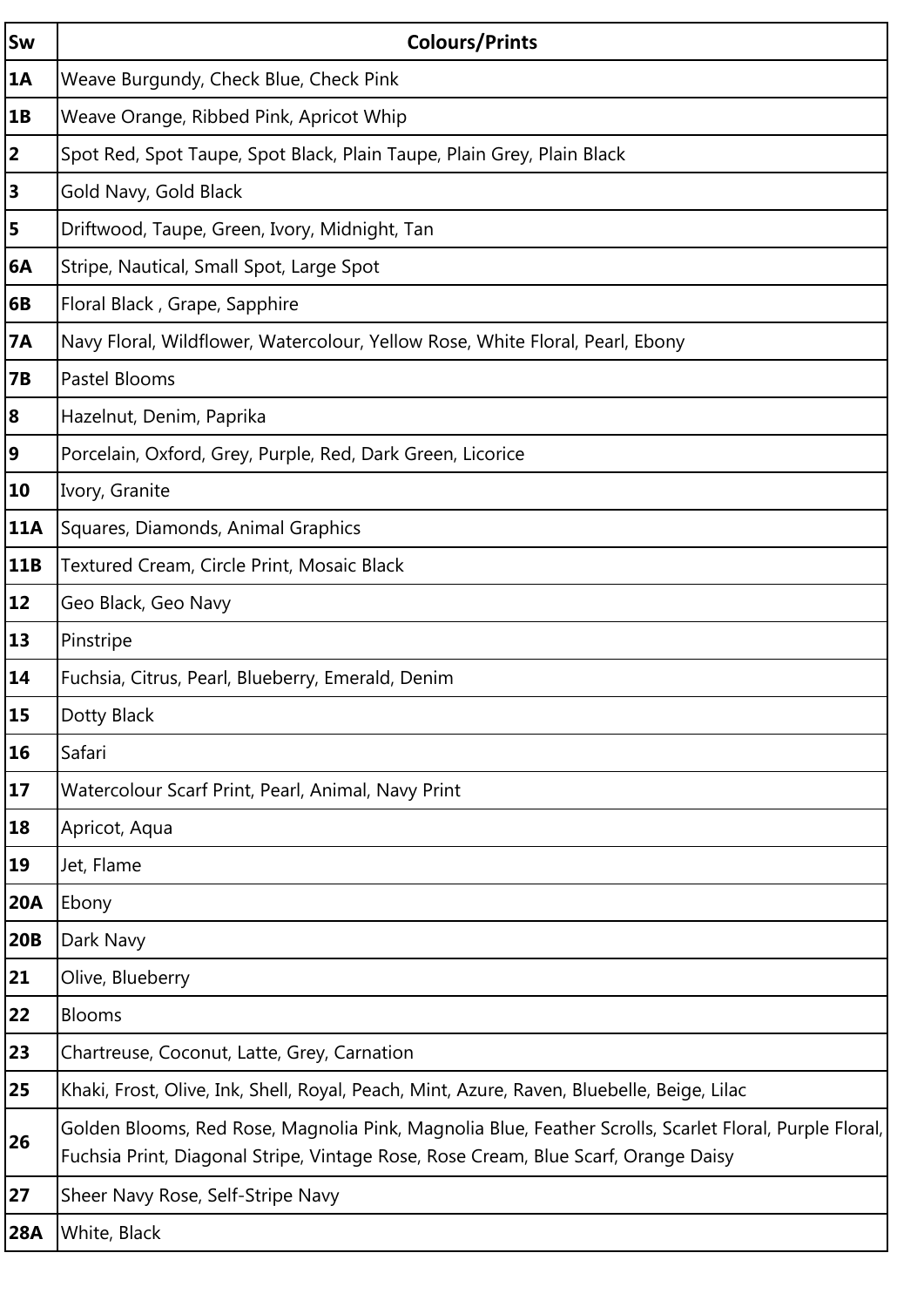| Sw                      | <b>Colours/Prints</b>                                                                                                                                                                        |
|-------------------------|----------------------------------------------------------------------------------------------------------------------------------------------------------------------------------------------|
| 1A                      | Weave Burgundy, Check Blue, Check Pink                                                                                                                                                       |
| 1B                      | Weave Orange, Ribbed Pink, Apricot Whip                                                                                                                                                      |
| $\overline{2}$          | Spot Red, Spot Taupe, Spot Black, Plain Taupe, Plain Grey, Plain Black                                                                                                                       |
| $\overline{\mathbf{3}}$ | Gold Navy, Gold Black                                                                                                                                                                        |
| 5                       | Driftwood, Taupe, Green, Ivory, Midnight, Tan                                                                                                                                                |
| 6A                      | Stripe, Nautical, Small Spot, Large Spot                                                                                                                                                     |
| 6B                      | Floral Black, Grape, Sapphire                                                                                                                                                                |
| <b>7A</b>               | Navy Floral, Wildflower, Watercolour, Yellow Rose, White Floral, Pearl, Ebony                                                                                                                |
| <b>7B</b>               | Pastel Blooms                                                                                                                                                                                |
| 8                       | Hazelnut, Denim, Paprika                                                                                                                                                                     |
| 9                       | Porcelain, Oxford, Grey, Purple, Red, Dark Green, Licorice                                                                                                                                   |
| 10                      | Ivory, Granite                                                                                                                                                                               |
| <b>11A</b>              | Squares, Diamonds, Animal Graphics                                                                                                                                                           |
| 11B                     | Textured Cream, Circle Print, Mosaic Black                                                                                                                                                   |
| <b>12</b>               | Geo Black, Geo Navy                                                                                                                                                                          |
| <b>13</b>               | Pinstripe                                                                                                                                                                                    |
| 14                      | Fuchsia, Citrus, Pearl, Blueberry, Emerald, Denim                                                                                                                                            |
| 15                      | Dotty Black                                                                                                                                                                                  |
| <b>16</b>               | Safari                                                                                                                                                                                       |
| <b>17</b>               | Watercolour Scarf Print, Pearl, Animal, Navy Print                                                                                                                                           |
| <b>18</b>               | Apricot, Aqua                                                                                                                                                                                |
| <b>19</b>               | Jet, Flame                                                                                                                                                                                   |
| <b>20A</b>              | Ebony                                                                                                                                                                                        |
| 20B                     | Dark Navy                                                                                                                                                                                    |
| 21                      | Olive, Blueberry                                                                                                                                                                             |
| 22                      | <b>Blooms</b>                                                                                                                                                                                |
| 23                      | Chartreuse, Coconut, Latte, Grey, Carnation                                                                                                                                                  |
| 25                      | Khaki, Frost, Olive, Ink, Shell, Royal, Peach, Mint, Azure, Raven, Bluebelle, Beige, Lilac                                                                                                   |
| 26                      | Golden Blooms, Red Rose, Magnolia Pink, Magnolia Blue, Feather Scrolls, Scarlet Floral, Purple Floral,<br>Fuchsia Print, Diagonal Stripe, Vintage Rose, Rose Cream, Blue Scarf, Orange Daisy |
| 27                      | Sheer Navy Rose, Self-Stripe Navy                                                                                                                                                            |
| <b>28A</b>              | White, Black                                                                                                                                                                                 |